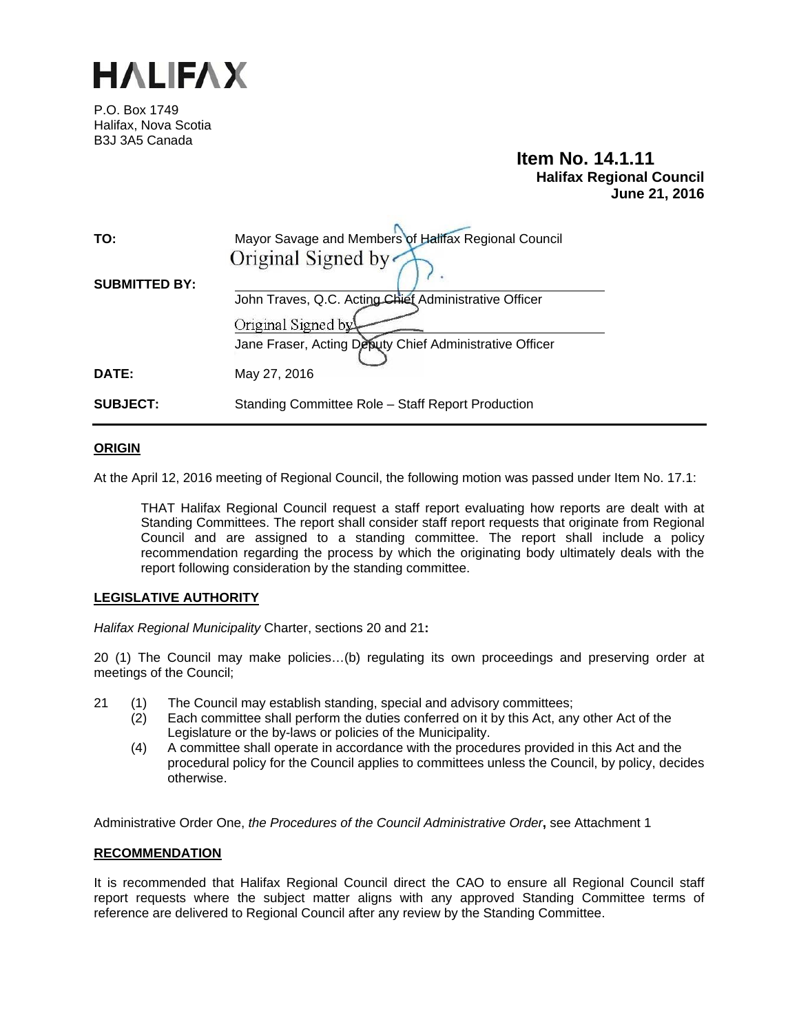

P.O. Box 1749 Halifax, Nova Scotia B3J 3A5 Canada

# **Item No. 14.1.11 Halifax Regional Council June 21, 2016**

| TO:                  | Mayor Savage and Members of Halifax Regional Council<br>Original Signed by                    |
|----------------------|-----------------------------------------------------------------------------------------------|
| <b>SUBMITTED BY:</b> | John Traves, Q.C. Acting Chief Administrative Officer                                         |
| <b>DATE:</b>         | Original Signed by<br>Jane Fraser, Acting Deputy Chief Administrative Officer<br>May 27, 2016 |
| <b>SUBJECT:</b>      | Standing Committee Role - Staff Report Production                                             |

# **ORIGIN**

At the April 12, 2016 meeting of Regional Council, the following motion was passed under Item No. 17.1:

THAT Halifax Regional Council request a staff report evaluating how reports are dealt with at Standing Committees. The report shall consider staff report requests that originate from Regional Council and are assigned to a standing committee. The report shall include a policy recommendation regarding the process by which the originating body ultimately deals with the report following consideration by the standing committee.

## **LEGISLATIVE AUTHORITY**

*Halifax Regional Municipality* Charter, sections 20 and 21**:** 

20 (1) The Council may make policies…(b) regulating its own proceedings and preserving order at meetings of the Council;

- 21 (1)The Council may establish standing, special and advisory committees;
	- (2)Each committee shall perform the duties conferred on it by this Act, any other Act of the Legislature or the by-laws or policies of the Municipality.
	- (4)A committee shall operate in accordance with the procedures provided in this Act and the procedural policy for the Council applies to committees unless the Council, by policy, decides otherwise.

Administrative Order One, *the Procedures of the Council Administrative Order***,** see Attachment 1

## **RECOMMENDATION**

It is recommended that Halifax Regional Council direct the CAO to ensure all Regional Council staff report requests where the subject matter aligns with any approved Standing Committee terms of reference are delivered to Regional Council after any review by the Standing Committee.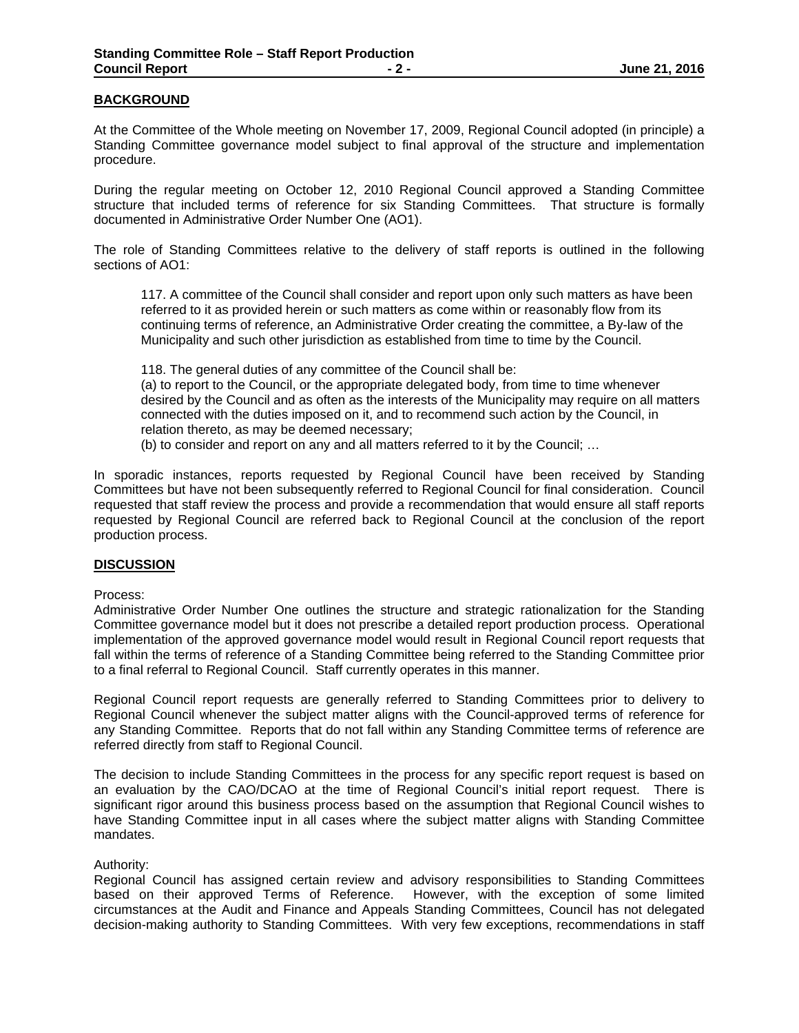## **BACKGROUND**

At the Committee of the Whole meeting on November 17, 2009, Regional Council adopted (in principle) a Standing Committee governance model subject to final approval of the structure and implementation procedure.

During the regular meeting on October 12, 2010 Regional Council approved a Standing Committee structure that included terms of reference for six Standing Committees. That structure is formally documented in Administrative Order Number One (AO1).

The role of Standing Committees relative to the delivery of staff reports is outlined in the following sections of AO1:

117. A committee of the Council shall consider and report upon only such matters as have been referred to it as provided herein or such matters as come within or reasonably flow from its continuing terms of reference, an Administrative Order creating the committee, a By-law of the Municipality and such other jurisdiction as established from time to time by the Council.

118. The general duties of any committee of the Council shall be:

(a) to report to the Council, or the appropriate delegated body, from time to time whenever desired by the Council and as often as the interests of the Municipality may require on all matters connected with the duties imposed on it, and to recommend such action by the Council, in relation thereto, as may be deemed necessary;

(b) to consider and report on any and all matters referred to it by the Council; …

In sporadic instances, reports requested by Regional Council have been received by Standing Committees but have not been subsequently referred to Regional Council for final consideration. Council requested that staff review the process and provide a recommendation that would ensure all staff reports requested by Regional Council are referred back to Regional Council at the conclusion of the report production process.

#### **DISCUSSION**

Process:

Administrative Order Number One outlines the structure and strategic rationalization for the Standing Committee governance model but it does not prescribe a detailed report production process. Operational implementation of the approved governance model would result in Regional Council report requests that fall within the terms of reference of a Standing Committee being referred to the Standing Committee prior to a final referral to Regional Council. Staff currently operates in this manner.

Regional Council report requests are generally referred to Standing Committees prior to delivery to Regional Council whenever the subject matter aligns with the Council-approved terms of reference for any Standing Committee. Reports that do not fall within any Standing Committee terms of reference are referred directly from staff to Regional Council.

The decision to include Standing Committees in the process for any specific report request is based on an evaluation by the CAO/DCAO at the time of Regional Council's initial report request. There is significant rigor around this business process based on the assumption that Regional Council wishes to have Standing Committee input in all cases where the subject matter aligns with Standing Committee mandates.

#### Authority:

Regional Council has assigned certain review and advisory responsibilities to Standing Committees based on their approved Terms of Reference. However, with the exception of some limited circumstances at the Audit and Finance and Appeals Standing Committees, Council has not delegated decision-making authority to Standing Committees. With very few exceptions, recommendations in staff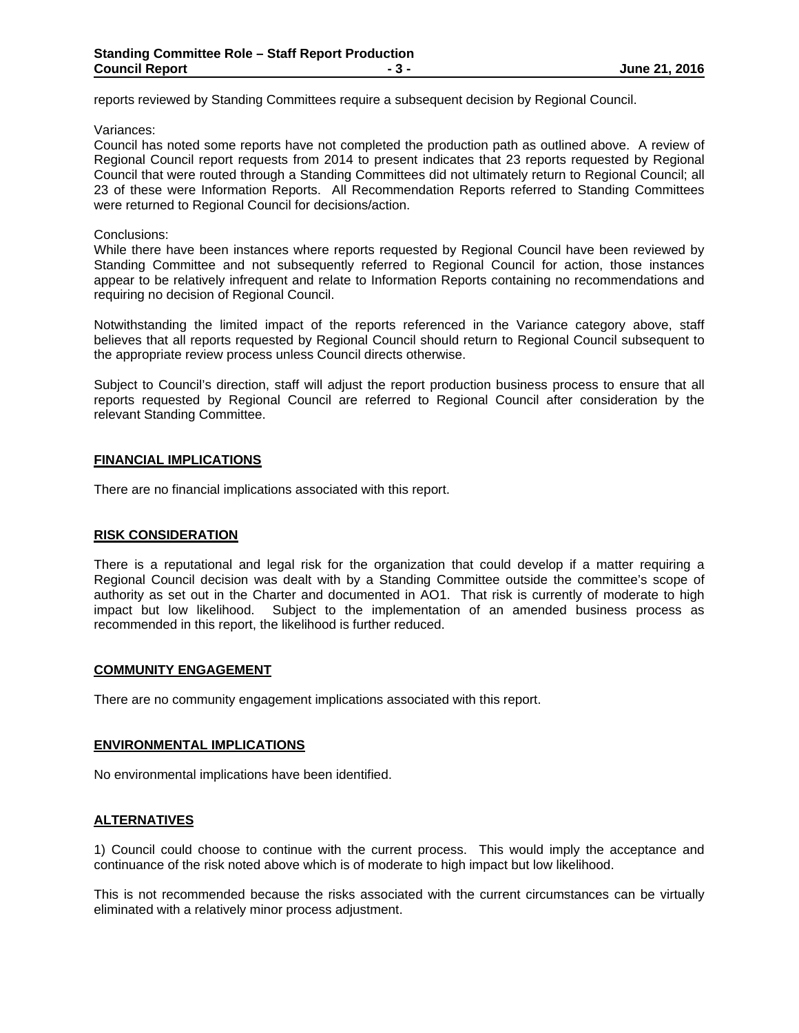reports reviewed by Standing Committees require a subsequent decision by Regional Council.

Variances:

Council has noted some reports have not completed the production path as outlined above. A review of Regional Council report requests from 2014 to present indicates that 23 reports requested by Regional Council that were routed through a Standing Committees did not ultimately return to Regional Council; all 23 of these were Information Reports. All Recommendation Reports referred to Standing Committees were returned to Regional Council for decisions/action.

#### Conclusions:

While there have been instances where reports requested by Regional Council have been reviewed by Standing Committee and not subsequently referred to Regional Council for action, those instances appear to be relatively infrequent and relate to Information Reports containing no recommendations and requiring no decision of Regional Council.

Notwithstanding the limited impact of the reports referenced in the Variance category above, staff believes that all reports requested by Regional Council should return to Regional Council subsequent to the appropriate review process unless Council directs otherwise.

Subject to Council's direction, staff will adjust the report production business process to ensure that all reports requested by Regional Council are referred to Regional Council after consideration by the relevant Standing Committee.

# **FINANCIAL IMPLICATIONS**

There are no financial implications associated with this report.

## **RISK CONSIDERATION**

There is a reputational and legal risk for the organization that could develop if a matter requiring a Regional Council decision was dealt with by a Standing Committee outside the committee's scope of authority as set out in the Charter and documented in AO1. That risk is currently of moderate to high impact but low likelihood. Subject to the implementation of an amended business process as recommended in this report, the likelihood is further reduced.

## **COMMUNITY ENGAGEMENT**

There are no community engagement implications associated with this report.

#### **ENVIRONMENTAL IMPLICATIONS**

No environmental implications have been identified.

# **ALTERNATIVES**

1) Council could choose to continue with the current process. This would imply the acceptance and continuance of the risk noted above which is of moderate to high impact but low likelihood.

This is not recommended because the risks associated with the current circumstances can be virtually eliminated with a relatively minor process adjustment.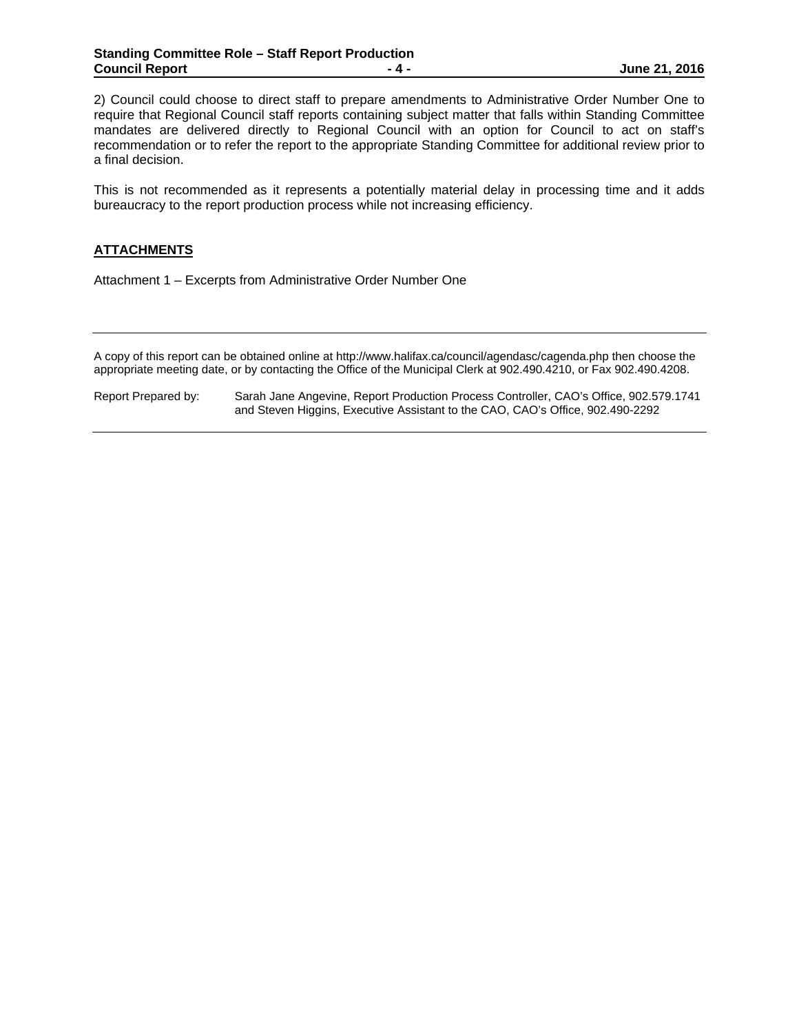2) Council could choose to direct staff to prepare amendments to Administrative Order Number One to require that Regional Council staff reports containing subject matter that falls within Standing Committee mandates are delivered directly to Regional Council with an option for Council to act on staff's recommendation or to refer the report to the appropriate Standing Committee for additional review prior to a final decision.

This is not recommended as it represents a potentially material delay in processing time and it adds bureaucracy to the report production process while not increasing efficiency.

# **ATTACHMENTS**

Attachment 1 – Excerpts from Administrative Order Number One

A copy of this report can be obtained online at http://www.halifax.ca/council/agendasc/cagenda.php then choose the appropriate meeting date, or by contacting the Office of the Municipal Clerk at 902.490.4210, or Fax 902.490.4208.

Report Prepared by: Sarah Jane Angevine, Report Production Process Controller, CAO's Office, 902.579.1741 and Steven Higgins, Executive Assistant to the CAO, CAO's Office, 902.490-2292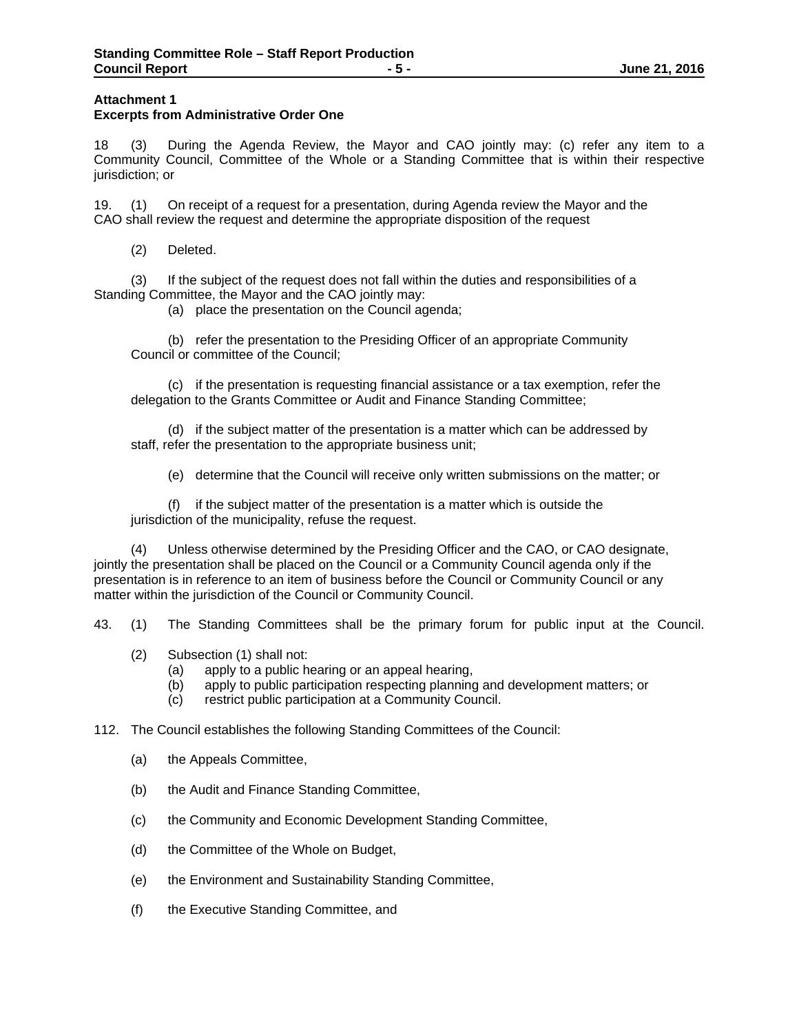## **Attachment 1 Excerpts from Administrative Order One**

18 (3) During the Agenda Review, the Mayor and CAO jointly may: (c) refer any item to a Community Council, Committee of the Whole or a Standing Committee that is within their respective jurisdiction; or

19. (1) On receipt of a request for a presentation, during Agenda review the Mayor and the CAO shall review the request and determine the appropriate disposition of the request

(2) Deleted.

 (3) If the subject of the request does not fall within the duties and responsibilities of a Standing Committee, the Mayor and the CAO jointly may:

(a) place the presentation on the Council agenda;

 (b) refer the presentation to the Presiding Officer of an appropriate Community Council or committee of the Council;

 (c) if the presentation is requesting financial assistance or a tax exemption, refer the delegation to the Grants Committee or Audit and Finance Standing Committee;

 (d) if the subject matter of the presentation is a matter which can be addressed by staff, refer the presentation to the appropriate business unit;

(e) determine that the Council will receive only written submissions on the matter; or

 (f) if the subject matter of the presentation is a matter which is outside the jurisdiction of the municipality, refuse the request.

 (4) Unless otherwise determined by the Presiding Officer and the CAO, or CAO designate, jointly the presentation shall be placed on the Council or a Community Council agenda only if the presentation is in reference to an item of business before the Council or Community Council or any matter within the jurisdiction of the Council or Community Council.

43. (1) The Standing Committees shall be the primary forum for public input at the Council.

- (2) Subsection (1) shall not:
	- (a) apply to a public hearing or an appeal hearing,
	- (b) apply to public participation respecting planning and development matters; or
	- (c) restrict public participation at a Community Council.

112. The Council establishes the following Standing Committees of the Council:

- (a) the Appeals Committee,
- (b) the Audit and Finance Standing Committee,
- (c) the Community and Economic Development Standing Committee,
- (d) the Committee of the Whole on Budget,
- (e) the Environment and Sustainability Standing Committee,
- (f) the Executive Standing Committee, and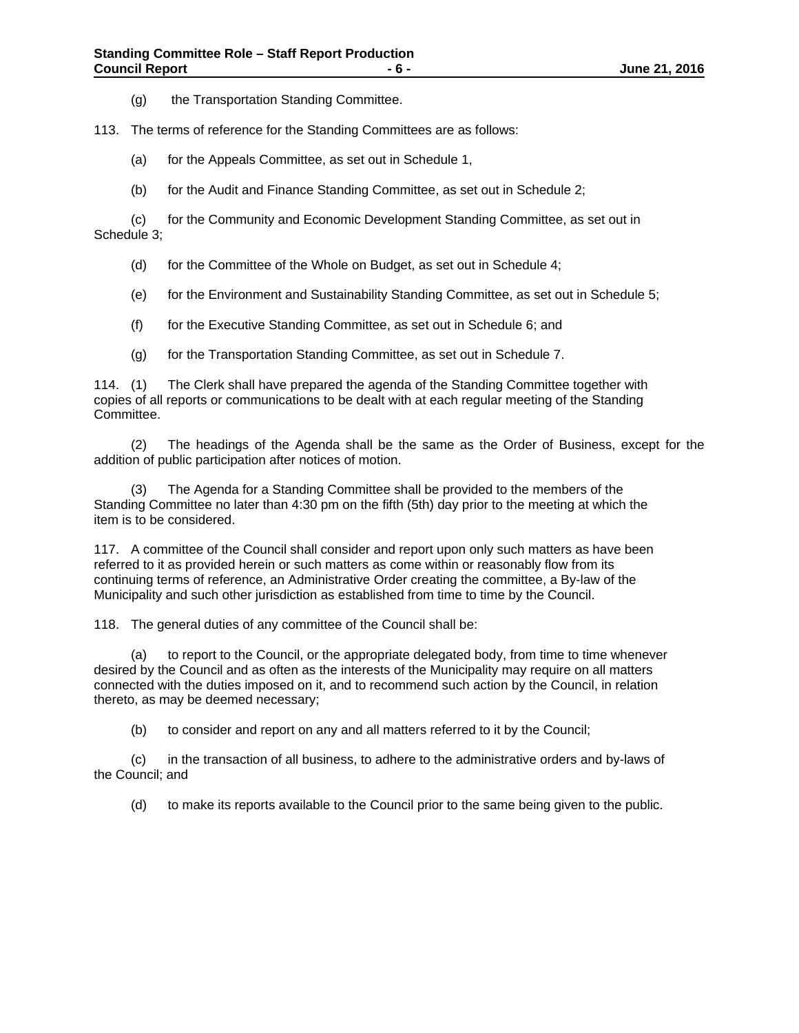(g) the Transportation Standing Committee.

113. The terms of reference for the Standing Committees are as follows:

(a) for the Appeals Committee, as set out in Schedule 1,

(b) for the Audit and Finance Standing Committee, as set out in Schedule 2;

 (c) for the Community and Economic Development Standing Committee, as set out in Schedule 3;

- (d) for the Committee of the Whole on Budget, as set out in Schedule 4;
- (e) for the Environment and Sustainability Standing Committee, as set out in Schedule 5;
- (f) for the Executive Standing Committee, as set out in Schedule 6; and
- (g) for the Transportation Standing Committee, as set out in Schedule 7.

114. (1) The Clerk shall have prepared the agenda of the Standing Committee together with copies of all reports or communications to be dealt with at each regular meeting of the Standing Committee.

 (2) The headings of the Agenda shall be the same as the Order of Business, except for the addition of public participation after notices of motion.

 (3) The Agenda for a Standing Committee shall be provided to the members of the Standing Committee no later than 4:30 pm on the fifth (5th) day prior to the meeting at which the item is to be considered.

117. A committee of the Council shall consider and report upon only such matters as have been referred to it as provided herein or such matters as come within or reasonably flow from its continuing terms of reference, an Administrative Order creating the committee, a By-law of the Municipality and such other jurisdiction as established from time to time by the Council.

118. The general duties of any committee of the Council shall be:

 (a) to report to the Council, or the appropriate delegated body, from time to time whenever desired by the Council and as often as the interests of the Municipality may require on all matters connected with the duties imposed on it, and to recommend such action by the Council, in relation thereto, as may be deemed necessary;

(b) to consider and report on any and all matters referred to it by the Council;

 (c) in the transaction of all business, to adhere to the administrative orders and by-laws of the Council; and

(d) to make its reports available to the Council prior to the same being given to the public.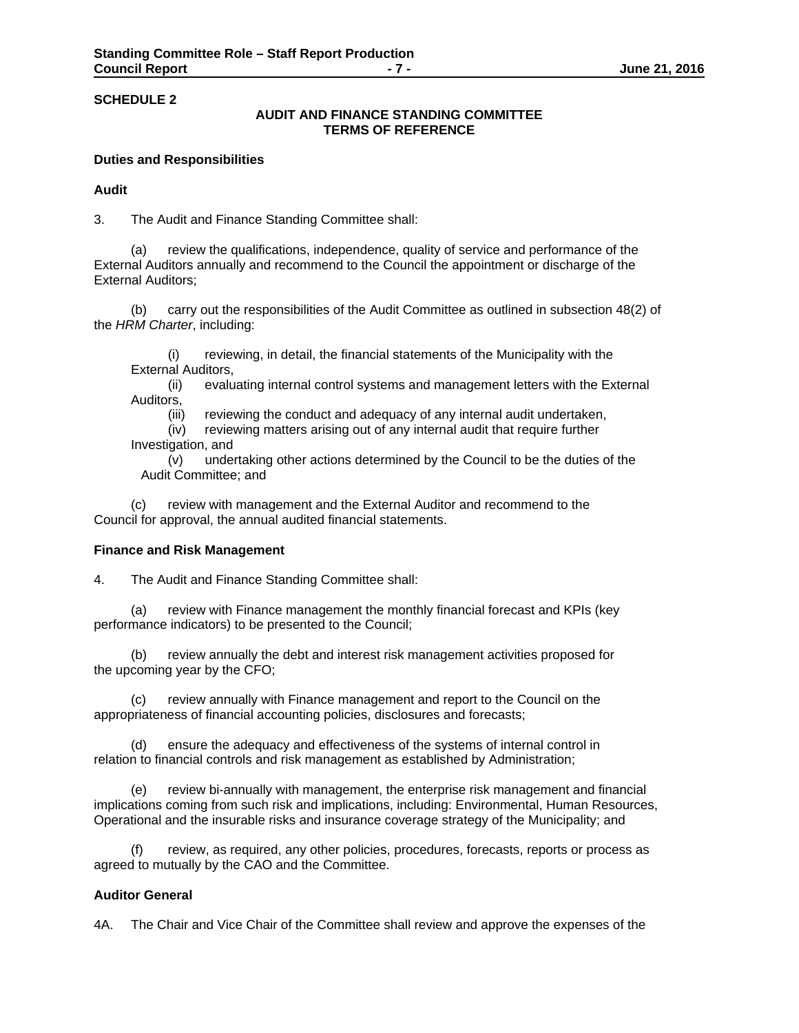# **AUDIT AND FINANCE STANDING COMMITTEE TERMS OF REFERENCE**

## **Duties and Responsibilities**

## **Audit**

3. The Audit and Finance Standing Committee shall:

 (a) review the qualifications, independence, quality of service and performance of the External Auditors annually and recommend to the Council the appointment or discharge of the External Auditors;

 (b) carry out the responsibilities of the Audit Committee as outlined in subsection 48(2) of the *HRM Charter*, including:

 (i) reviewing, in detail, the financial statements of the Municipality with the External Auditors,

 (ii) evaluating internal control systems and management letters with the External Auditors,

(iii) reviewing the conduct and adequacy of any internal audit undertaken,

 (iv) reviewing matters arising out of any internal audit that require further Investigation, and

 (v) undertaking other actions determined by the Council to be the duties of the Audit Committee; and

 (c) review with management and the External Auditor and recommend to the Council for approval, the annual audited financial statements.

#### **Finance and Risk Management**

4. The Audit and Finance Standing Committee shall:

 (a) review with Finance management the monthly financial forecast and KPIs (key performance indicators) to be presented to the Council;

 (b) review annually the debt and interest risk management activities proposed for the upcoming year by the CFO;

 (c) review annually with Finance management and report to the Council on the appropriateness of financial accounting policies, disclosures and forecasts;

 (d) ensure the adequacy and effectiveness of the systems of internal control in relation to financial controls and risk management as established by Administration;

 (e) review bi-annually with management, the enterprise risk management and financial implications coming from such risk and implications, including: Environmental, Human Resources, Operational and the insurable risks and insurance coverage strategy of the Municipality; and

review, as required, any other policies, procedures, forecasts, reports or process as agreed to mutually by the CAO and the Committee.

## **Auditor General**

4A. The Chair and Vice Chair of the Committee shall review and approve the expenses of the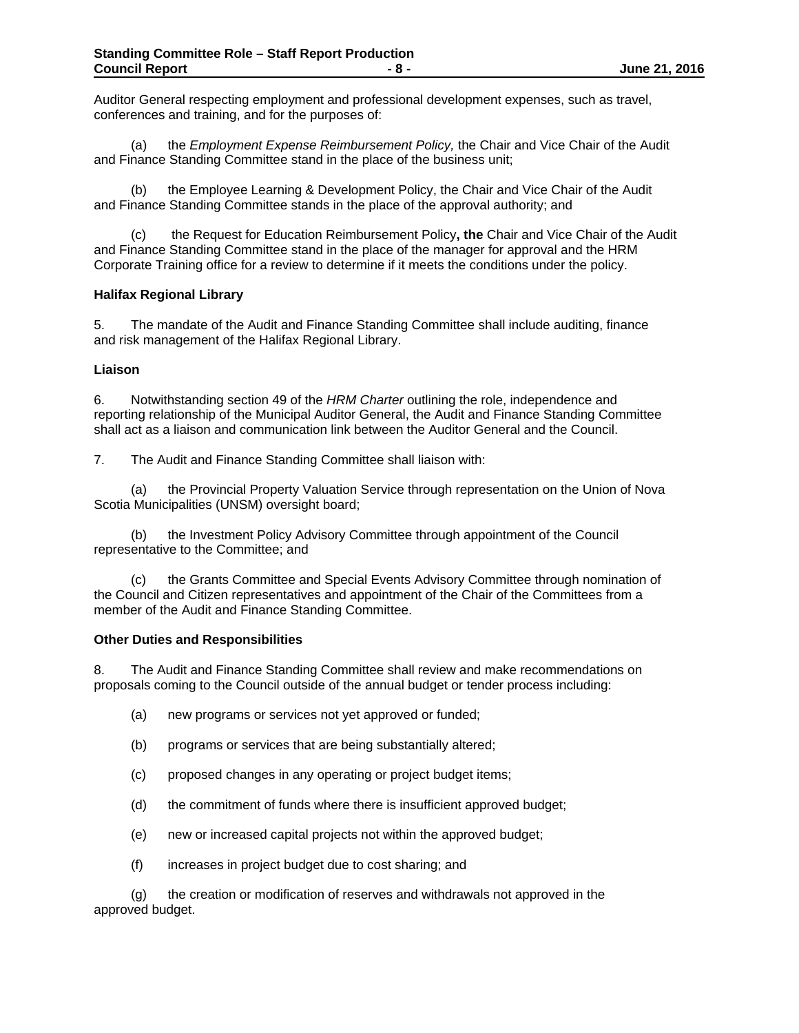Auditor General respecting employment and professional development expenses, such as travel, conferences and training, and for the purposes of:

 (a) the *Employment Expense Reimbursement Policy,* the Chair and Vice Chair of the Audit and Finance Standing Committee stand in the place of the business unit;

 (b) the Employee Learning & Development Policy, the Chair and Vice Chair of the Audit and Finance Standing Committee stands in the place of the approval authority; and

 (c) the Request for Education Reimbursement Policy**, the** Chair and Vice Chair of the Audit and Finance Standing Committee stand in the place of the manager for approval and the HRM Corporate Training office for a review to determine if it meets the conditions under the policy.

# **Halifax Regional Library**

5. The mandate of the Audit and Finance Standing Committee shall include auditing, finance and risk management of the Halifax Regional Library.

### **Liaison**

6. Notwithstanding section 49 of the *HRM Charter* outlining the role, independence and reporting relationship of the Municipal Auditor General, the Audit and Finance Standing Committee shall act as a liaison and communication link between the Auditor General and the Council.

7. The Audit and Finance Standing Committee shall liaison with:

(a) the Provincial Property Valuation Service through representation on the Union of Nova Scotia Municipalities (UNSM) oversight board;

 (b) the Investment Policy Advisory Committee through appointment of the Council representative to the Committee; and

 (c) the Grants Committee and Special Events Advisory Committee through nomination of the Council and Citizen representatives and appointment of the Chair of the Committees from a member of the Audit and Finance Standing Committee.

#### **Other Duties and Responsibilities**

8. The Audit and Finance Standing Committee shall review and make recommendations on proposals coming to the Council outside of the annual budget or tender process including:

- (a) new programs or services not yet approved or funded;
- (b) programs or services that are being substantially altered;
- (c) proposed changes in any operating or project budget items;
- (d) the commitment of funds where there is insufficient approved budget;
- (e) new or increased capital projects not within the approved budget;
- (f) increases in project budget due to cost sharing; and

 (g) the creation or modification of reserves and withdrawals not approved in the approved budget.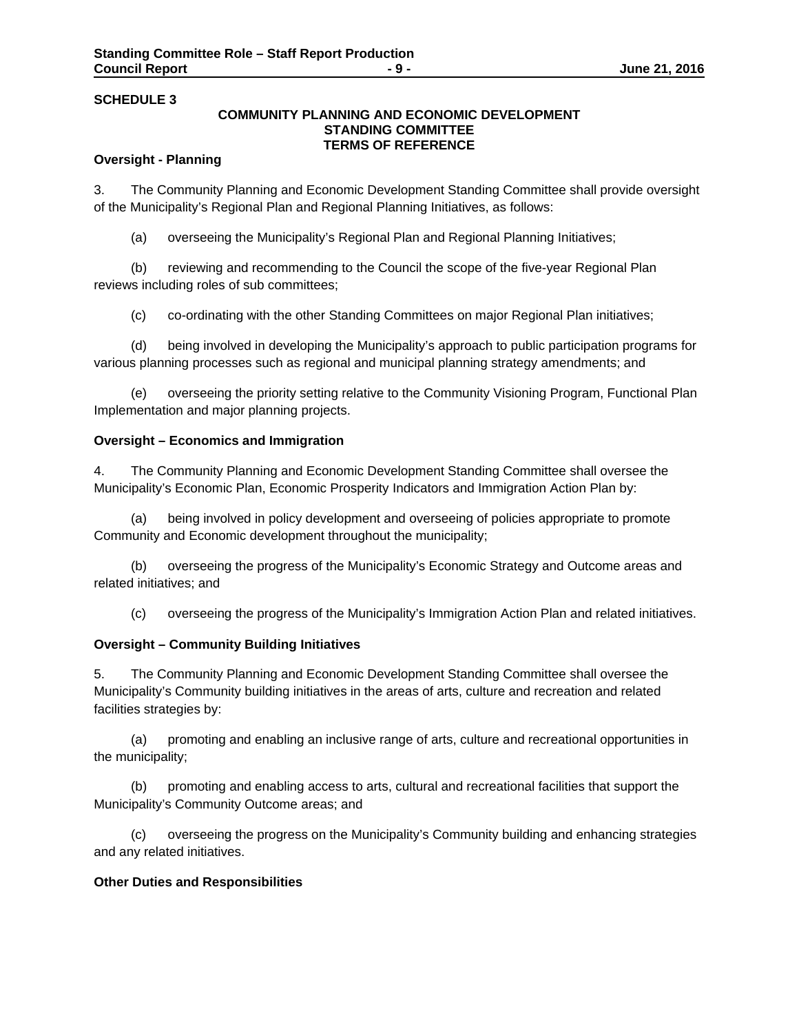# **COMMUNITY PLANNING AND ECONOMIC DEVELOPMENT STANDING COMMITTEE TERMS OF REFERENCE**

# **Oversight - Planning**

3. The Community Planning and Economic Development Standing Committee shall provide oversight of the Municipality's Regional Plan and Regional Planning Initiatives, as follows:

(a) overseeing the Municipality's Regional Plan and Regional Planning Initiatives;

 (b) reviewing and recommending to the Council the scope of the five-year Regional Plan reviews including roles of sub committees;

(c) co-ordinating with the other Standing Committees on major Regional Plan initiatives;

 (d) being involved in developing the Municipality's approach to public participation programs for various planning processes such as regional and municipal planning strategy amendments; and

 (e) overseeing the priority setting relative to the Community Visioning Program, Functional Plan Implementation and major planning projects.

### **Oversight – Economics and Immigration**

4. The Community Planning and Economic Development Standing Committee shall oversee the Municipality's Economic Plan, Economic Prosperity Indicators and Immigration Action Plan by:

being involved in policy development and overseeing of policies appropriate to promote Community and Economic development throughout the municipality;

 (b) overseeing the progress of the Municipality's Economic Strategy and Outcome areas and related initiatives; and

(c) overseeing the progress of the Municipality's Immigration Action Plan and related initiatives.

## **Oversight – Community Building Initiatives**

5. The Community Planning and Economic Development Standing Committee shall oversee the Municipality's Community building initiatives in the areas of arts, culture and recreation and related facilities strategies by:

 (a) promoting and enabling an inclusive range of arts, culture and recreational opportunities in the municipality;

 (b) promoting and enabling access to arts, cultural and recreational facilities that support the Municipality's Community Outcome areas; and

 (c) overseeing the progress on the Municipality's Community building and enhancing strategies and any related initiatives.

#### **Other Duties and Responsibilities**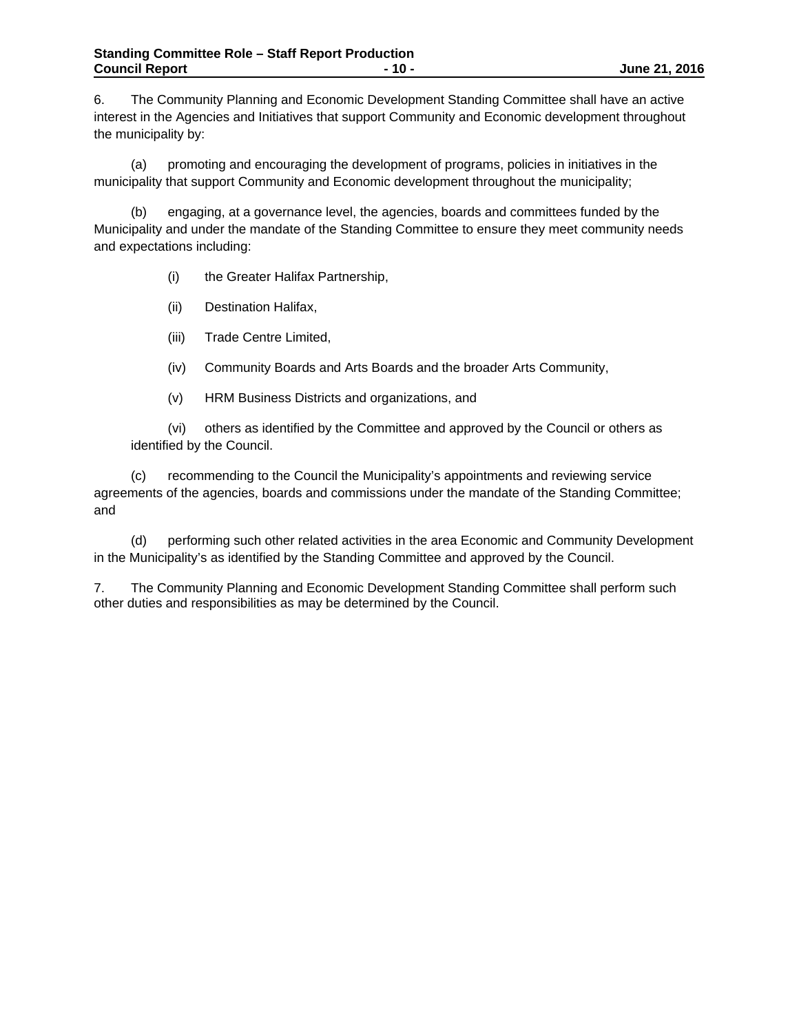6. The Community Planning and Economic Development Standing Committee shall have an active interest in the Agencies and Initiatives that support Community and Economic development throughout the municipality by:

(a) promoting and encouraging the development of programs, policies in initiatives in the municipality that support Community and Economic development throughout the municipality;

(b) engaging, at a governance level, the agencies, boards and committees funded by the Municipality and under the mandate of the Standing Committee to ensure they meet community needs and expectations including:

(i) the Greater Halifax Partnership,

(ii) Destination Halifax,

(iii) Trade Centre Limited,

(iv) Community Boards and Arts Boards and the broader Arts Community,

(v) HRM Business Districts and organizations, and

(vi) others as identified by the Committee and approved by the Council or others as identified by the Council.

 (c) recommending to the Council the Municipality's appointments and reviewing service agreements of the agencies, boards and commissions under the mandate of the Standing Committee; and

 (d) performing such other related activities in the area Economic and Community Development in the Municipality's as identified by the Standing Committee and approved by the Council.

7. The Community Planning and Economic Development Standing Committee shall perform such other duties and responsibilities as may be determined by the Council.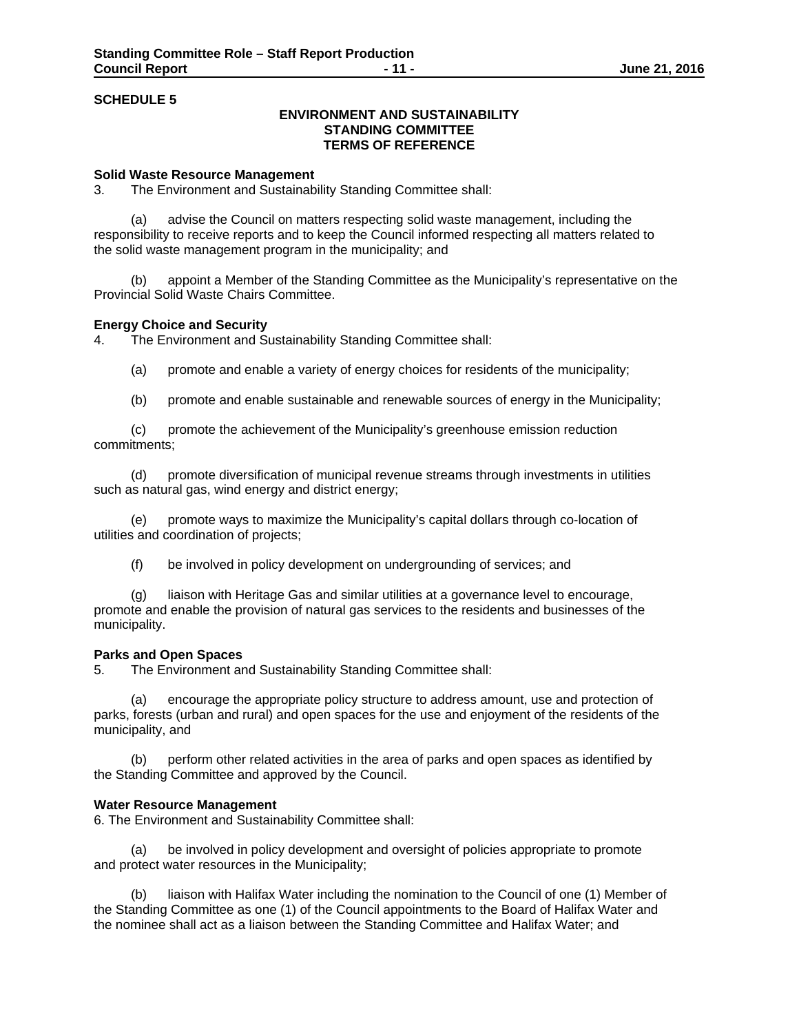# **ENVIRONMENT AND SUSTAINABILITY STANDING COMMITTEE TERMS OF REFERENCE**

#### **Solid Waste Resource Management**

3. The Environment and Sustainability Standing Committee shall:

 (a) advise the Council on matters respecting solid waste management, including the responsibility to receive reports and to keep the Council informed respecting all matters related to the solid waste management program in the municipality; and

 (b) appoint a Member of the Standing Committee as the Municipality's representative on the Provincial Solid Waste Chairs Committee.

#### **Energy Choice and Security**

4. The Environment and Sustainability Standing Committee shall:

- (a) promote and enable a variety of energy choices for residents of the municipality;
- (b) promote and enable sustainable and renewable sources of energy in the Municipality;

(c) promote the achievement of the Municipality's greenhouse emission reduction commitments;

(d) promote diversification of municipal revenue streams through investments in utilities such as natural gas, wind energy and district energy;

(e) promote ways to maximize the Municipality's capital dollars through co-location of utilities and coordination of projects;

(f) be involved in policy development on undergrounding of services; and

(g) liaison with Heritage Gas and similar utilities at a governance level to encourage, promote and enable the provision of natural gas services to the residents and businesses of the municipality.

#### **Parks and Open Spaces**

5. The Environment and Sustainability Standing Committee shall:

(a) encourage the appropriate policy structure to address amount, use and protection of parks, forests (urban and rural) and open spaces for the use and enjoyment of the residents of the municipality, and

(b) perform other related activities in the area of parks and open spaces as identified by the Standing Committee and approved by the Council.

#### **Water Resource Management**

6. The Environment and Sustainability Committee shall:

be involved in policy development and oversight of policies appropriate to promote and protect water resources in the Municipality;

(b) liaison with Halifax Water including the nomination to the Council of one (1) Member of the Standing Committee as one (1) of the Council appointments to the Board of Halifax Water and the nominee shall act as a liaison between the Standing Committee and Halifax Water; and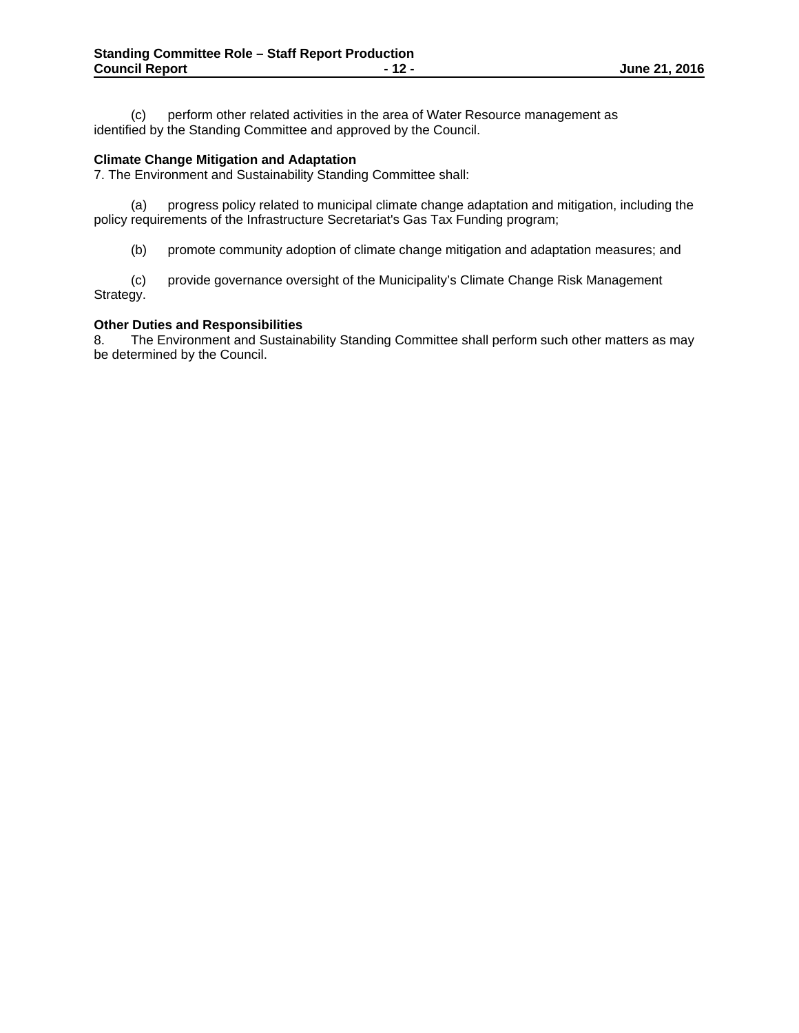(c) perform other related activities in the area of Water Resource management as identified by the Standing Committee and approved by the Council.

## **Climate Change Mitigation and Adaptation**

7. The Environment and Sustainability Standing Committee shall:

 (a) progress policy related to municipal climate change adaptation and mitigation, including the policy requirements of the Infrastructure Secretariat's Gas Tax Funding program;

(b) promote community adoption of climate change mitigation and adaptation measures; and

 (c) provide governance oversight of the Municipality's Climate Change Risk Management Strategy.

# **Other Duties and Responsibilities**

8. The Environment and Sustainability Standing Committee shall perform such other matters as may be determined by the Council.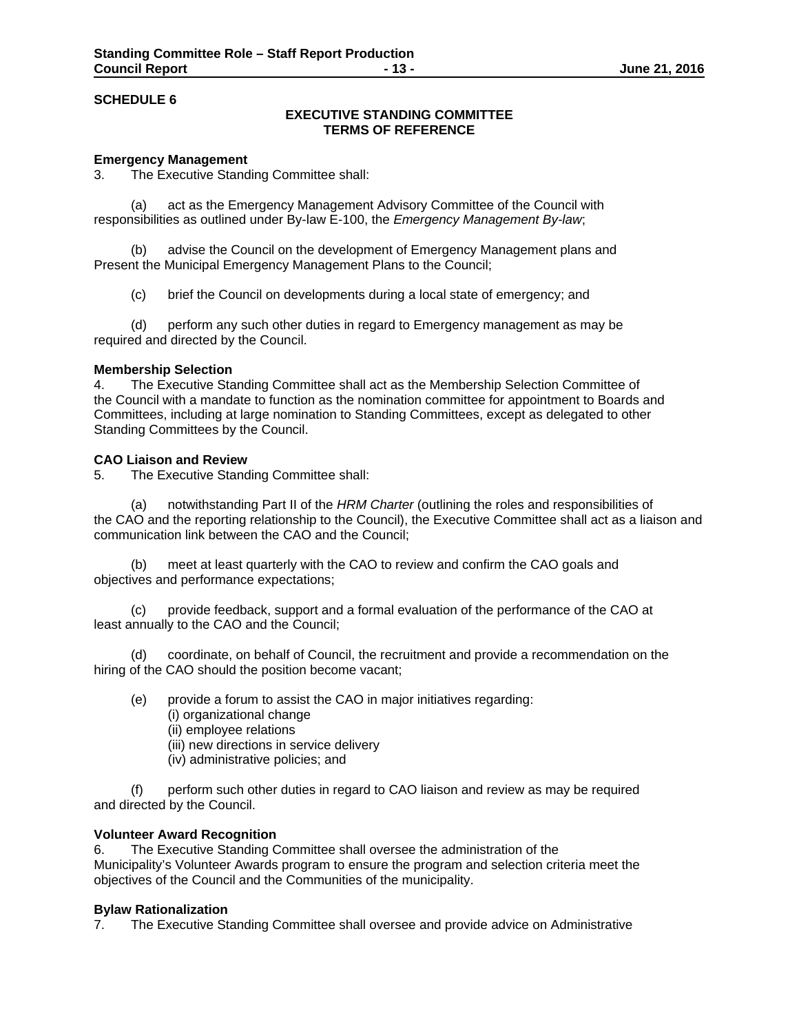# **EXECUTIVE STANDING COMMITTEE TERMS OF REFERENCE**

## **Emergency Management**

3. The Executive Standing Committee shall:

(a) act as the Emergency Management Advisory Committee of the Council with responsibilities as outlined under By-law E-100, the *Emergency Management By-law*;

(b) advise the Council on the development of Emergency Management plans and Present the Municipal Emergency Management Plans to the Council;

(c) brief the Council on developments during a local state of emergency; and

(d) perform any such other duties in regard to Emergency management as may be required and directed by the Council.

#### **Membership Selection**

4. The Executive Standing Committee shall act as the Membership Selection Committee of the Council with a mandate to function as the nomination committee for appointment to Boards and Committees, including at large nomination to Standing Committees, except as delegated to other Standing Committees by the Council.

### **CAO Liaison and Review**

5. The Executive Standing Committee shall:

(a) notwithstanding Part II of the *HRM Charter* (outlining the roles and responsibilities of the CAO and the reporting relationship to the Council), the Executive Committee shall act as a liaison and communication link between the CAO and the Council;

(b) meet at least quarterly with the CAO to review and confirm the CAO goals and objectives and performance expectations;

(c) provide feedback, support and a formal evaluation of the performance of the CAO at least annually to the CAO and the Council;

(d) coordinate, on behalf of Council, the recruitment and provide a recommendation on the hiring of the CAO should the position become vacant;

- (e) provide a forum to assist the CAO in major initiatives regarding:
	- (i) organizational change
	- (ii) employee relations
	- (iii) new directions in service delivery
	- (iv) administrative policies; and

(f) perform such other duties in regard to CAO liaison and review as may be required and directed by the Council.

#### **Volunteer Award Recognition**

6. The Executive Standing Committee shall oversee the administration of the Municipality's Volunteer Awards program to ensure the program and selection criteria meet the objectives of the Council and the Communities of the municipality.

#### **Bylaw Rationalization**

7. The Executive Standing Committee shall oversee and provide advice on Administrative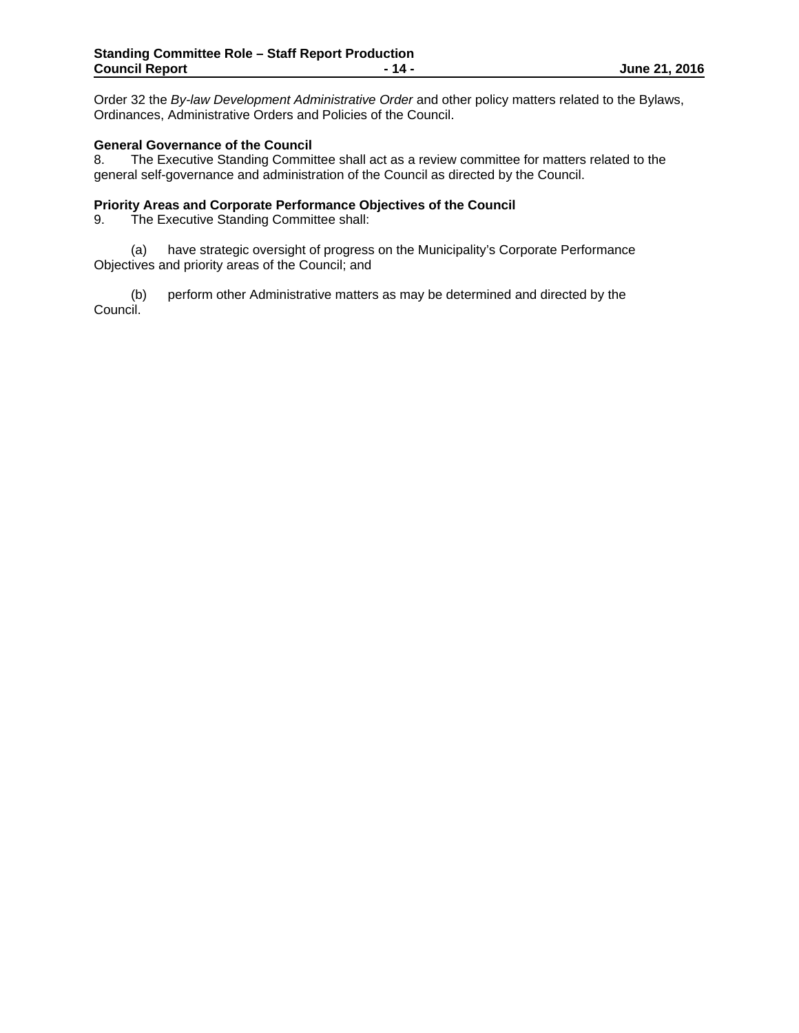Order 32 the *By-law Development Administrative Order* and other policy matters related to the Bylaws, Ordinances, Administrative Orders and Policies of the Council.

# **General Governance of the Council**

8. The Executive Standing Committee shall act as a review committee for matters related to the general self-governance and administration of the Council as directed by the Council.

## **Priority Areas and Corporate Performance Objectives of the Council**

9. The Executive Standing Committee shall:

 (a) have strategic oversight of progress on the Municipality's Corporate Performance Objectives and priority areas of the Council; and

 (b) perform other Administrative matters as may be determined and directed by the Council.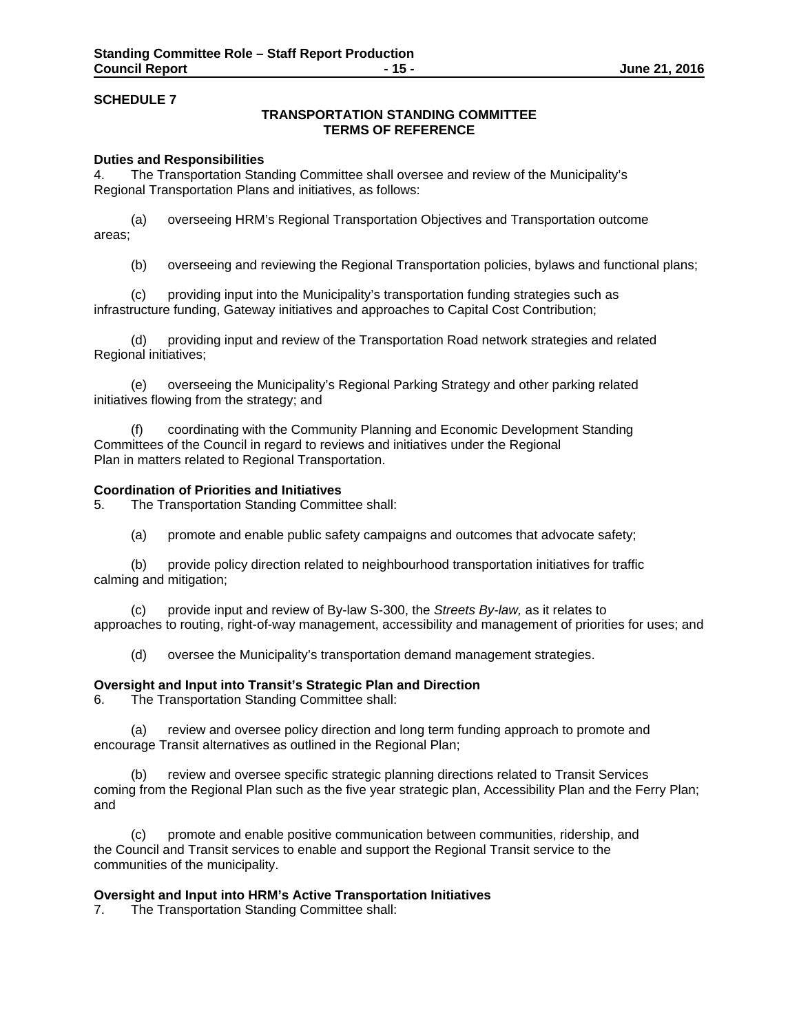# **TRANSPORTATION STANDING COMMITTEE TERMS OF REFERENCE**

### **Duties and Responsibilities**

4. The Transportation Standing Committee shall oversee and review of the Municipality's Regional Transportation Plans and initiatives, as follows:

(a) overseeing HRM's Regional Transportation Objectives and Transportation outcome areas;

(b) overseeing and reviewing the Regional Transportation policies, bylaws and functional plans;

(c) providing input into the Municipality's transportation funding strategies such as infrastructure funding, Gateway initiatives and approaches to Capital Cost Contribution;

(d) providing input and review of the Transportation Road network strategies and related Regional initiatives;

(e) overseeing the Municipality's Regional Parking Strategy and other parking related initiatives flowing from the strategy; and

(f) coordinating with the Community Planning and Economic Development Standing Committees of the Council in regard to reviews and initiatives under the Regional Plan in matters related to Regional Transportation.

## **Coordination of Priorities and Initiatives**

5. The Transportation Standing Committee shall:

(a) promote and enable public safety campaigns and outcomes that advocate safety;

(b) provide policy direction related to neighbourhood transportation initiatives for traffic calming and mitigation;

(c) provide input and review of By-law S-300, the *Streets By-law,* as it relates to approaches to routing, right-of-way management, accessibility and management of priorities for uses; and

(d) oversee the Municipality's transportation demand management strategies.

#### **Oversight and Input into Transit's Strategic Plan and Direction**

6. The Transportation Standing Committee shall:

(a) review and oversee policy direction and long term funding approach to promote and encourage Transit alternatives as outlined in the Regional Plan;

(b) review and oversee specific strategic planning directions related to Transit Services coming from the Regional Plan such as the five year strategic plan, Accessibility Plan and the Ferry Plan; and

 (c) promote and enable positive communication between communities, ridership, and the Council and Transit services to enable and support the Regional Transit service to the communities of the municipality.

#### **Oversight and Input into HRM's Active Transportation Initiatives**

7. The Transportation Standing Committee shall: